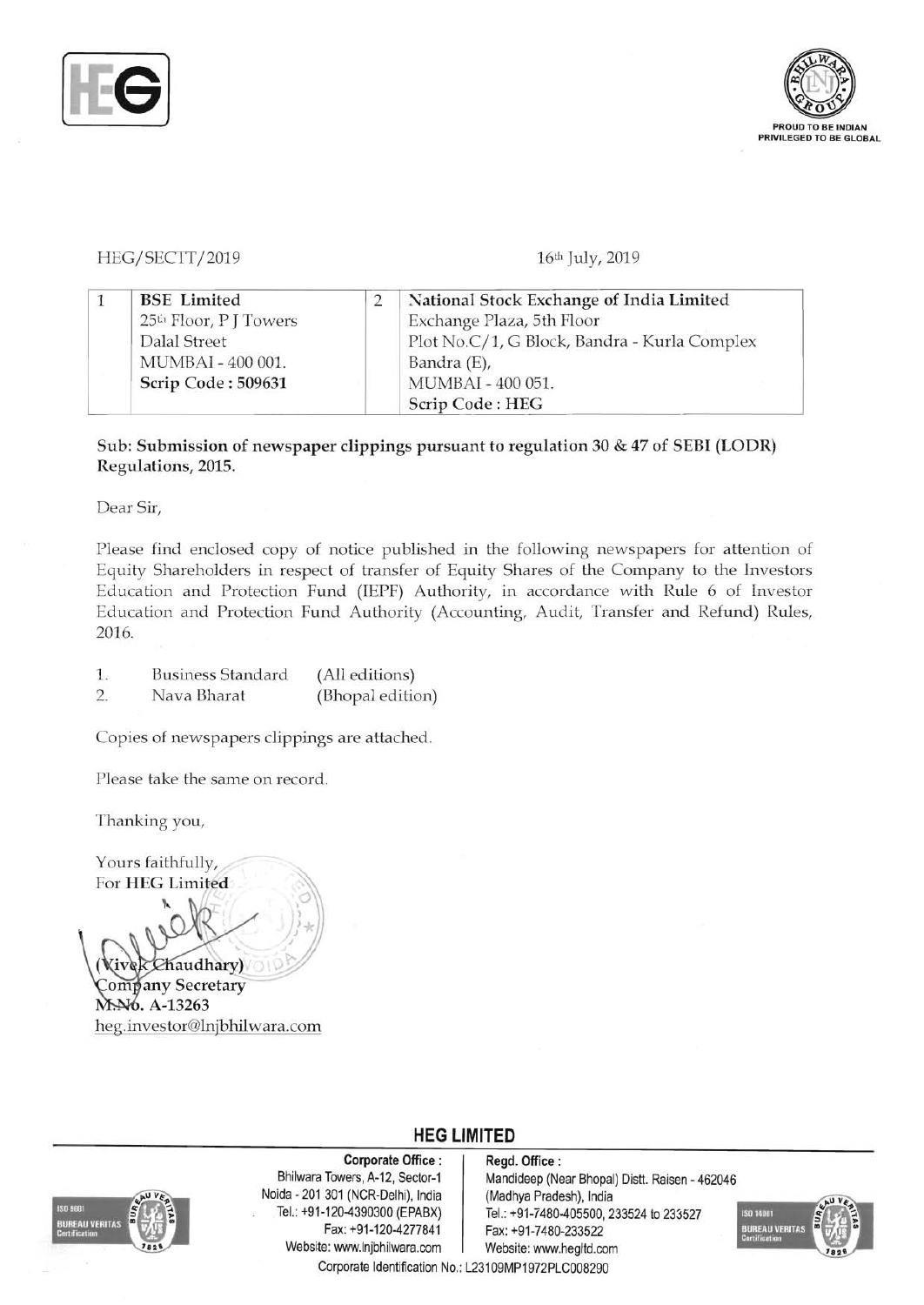



## HEG/ SECTT *12019* 16th July, 2019

| <b>BSE</b> Limited                 | National Stock Exchange of India Limited     |
|------------------------------------|----------------------------------------------|
| 25 <sup>th</sup> Floor, P J Towers | Exchange Plaza, 5th Floor                    |
| Dalal Street                       | Plot No.C/1, G Block, Bandra - Kurla Complex |
| MUMBAI - 400 001.                  | Bandra (E),                                  |
| Scrip Code: 509631                 | MUMBAI - 400 051.                            |
|                                    | Scrip Code: HEG                              |

Sub: Submission of newspaper clippings pursuant to regulation 30 & 47 of SEBI (LODR) Regulations, 2015.

Dear Sir,

Please find enclosed copy of notice published in the following newspapers for attention of Equity Shareholders in respect of transfer of Equity Shares of the Company to the Investors Education and Protection Fund (IEPF) Authority, in accordance with Rule 6 of Investor Education and Protection Fund Authority (Accounting, Audit, Transfer and Refund) Rules, 2016.

- 1. Business Standard (All editions)
- 2. Nava Bharat (Bhopal edition)

Copies of newspapers clippings are attached.

Please take the same on record.

Thanking you,

Yours faithfully, For HEG Limited Chaudhary)

Company Secretary MA6. A-13263 heg.investor@lnjbhilwara.com



Noida 201 301 (NCR-Delhi), India (Madhya Pradesh), India Website: www.lnjbhilwara.com | Website: www.hegltd.com

Corporate Office : | Regd. Office :

Bhilwara Towers, A-12, Sector-1 | Mandideep (Near Bhopal) Distt. Raisen - 462046 Tel.: +91-120-4390300 (EPABX) Tel.: +91-7480-405500, 233524 to 233527<br>Fax: +91-120-4277841 Fax: +91-7480-233522 Fax: +91-7480-233522



Corporate Identification No.: L23109MP1972PLC008290

**HEG LIMITED**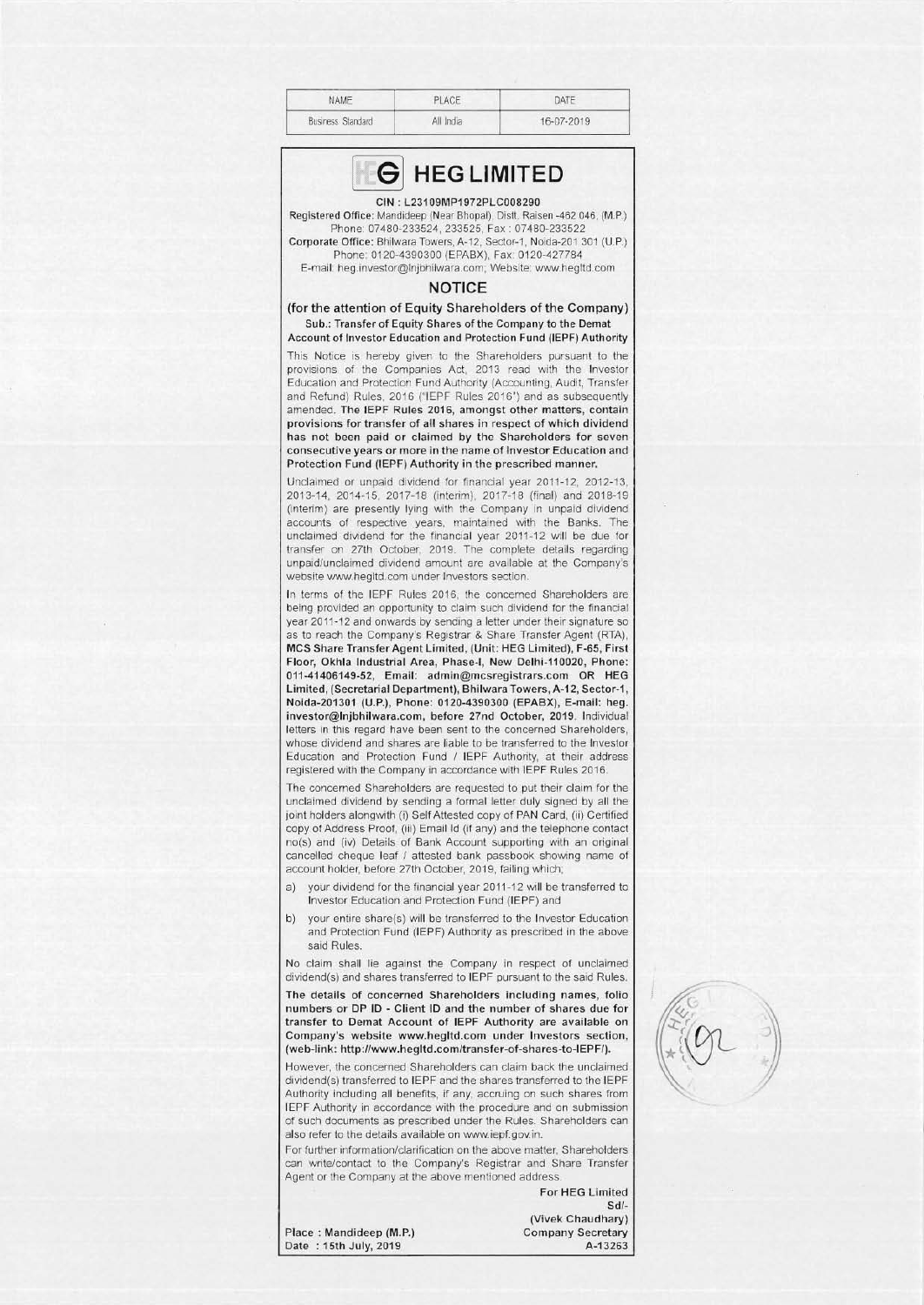| NAME              | PLACE.    | DATE       |
|-------------------|-----------|------------|
| Business Standard | All India | 16-07-2019 |



## CIN : L23109MP1972PLC008290

Registered Office: Mandideep (Near Bhopal), Distt. Raisen -462 046, (M.P.) Phone: 07480-233524, 233525, Fax: 07480-233522 Corporate Office: Bhilwara Towers, A-12, Sector-1, Noida-201 301 (U.P.)

Phone 0120-4390300 (EPABX). Fax 0120-427784 E-mail: heg.investor@lnjbhilwara.com; Website: www.hegltd.com

## **NOTICE**

(for the attention of Equity Shareholders of the Company) Sub.: Transfer of Equity Shares of the Company to the Demat Account of Investor Education and Protection Fund (IEPF) Authority

This Notice is hereby given to the Shareholders pursuant to the provisions of the Companies Act, 2013 read with the Investor Education and Protection Fund Authority (Accounting. Audit, Transfer and Refund) Rules, 2016 ("IEPF Rules 2016") and as subsequently amended. The IEPF Rules 2016, amongst other matters, contain provisions for transfer of all shares in respect of which dividend has not been paid or claimed by the Shareholders for seven consecutive years or more in the name of Investor Education and Protection Fund (IEPF) Authority in the prescribed manner.

Unclaimed or unpaid dividend for financial year 2011 -12, 2012-13, 2013-14, 2014-15, 2017-18 (interim), 2017-18 (final) and 2018-19 (interim) are presently lying with the Company in unpaid dividend accounts of respective years, maintained with the Banks. The unclaimed dividend for the financial year 2011-12 will be due for transfer on 27th October, 2019. The complete details regarding unpaid/unclaimed dividend amount are available at the Company's website www.hegltd.com under Investors section.

In terms of the IEPF Rules 2016, the concerned Shareholders are being provided an opportunity to claim such dividend for the financial year 2011-12 and onwards by sending a letter under their signature so as to reach the Company's Registrar & Share Transfer Agent (RTA), MCS Share Transfer Agent Limited , (Unit: HEG Limited), F-65, First Floor, Okhla Industrial Area, Phase-I, New Delhi-110020, Phone: 011-41406149-52, Email: admin@mcsregistrars.com OR HEG Limited, (Secretarial Department), Bhilwara Towers, A-12, Sector-1, Noida-201301 (U.P.), Phone: 0120-4390300 (EPABX), E-mail: heg. investor@lnjbhilwara.com, before 27nd October, 2019. Individual letters in this regard have been sent to the concerned Shareholders, whose dividend and shares are liable to be transferred to the Investor Education and Protection Fund / IEPF Authority, at their address registered with the Company in accordance with IEPF Rules 2016.

The concerned Shareholders are requested to put their claim for the unclaimed dividend by sending a formal letter duly signed by all the joint holders alongwith (i) Self Attested copy of PAN Card, (ii) Certified copy of Address Proof, (iii) Email Id (if any) and the telephone contact no(s) and (iv) Details of Bank Account supporting with an original cancelled cheque leaf / attested bank passbook showing name of account holder, before 27th October, 2019, failing which;

- a) your dividend for the financial year 2011-12 will be transferred to Investor Education and Protection Fund (IEPF) and
- b) vour entire share(s) will be transferred to the Investor Education and Protection Fund (IEPF) Authority as prescribed in the above said Rules.

No claim shall lie against the Company in respect of unclaimed dividend(s) and shares transferred to IEPF pursuant to the said Rules.

The details of concerned Shareholders including names, folio numbers or DP ID - Client 10 and the number of shares due for transfer to Demat Account of IEPF Authority are available on Company's website www.hegltd.com under Investors section, (web-link: http://www.hegltd.com/transfer-of-shares-to-IEPF/).

However, the concerned Shareholders can claim back the unclaimed dividend(s) transferred to IEPF and the shares transferred to the IEPF Authority including all benefits, if any, accruing on such shares from IEPF Authority in accordance with the procedure and on submission of such documents as prescribed under the Rules. Shareholders can also refer to the details available on www.iepf.gov.in.

For further information/clarification on the above matter, Shareholders can write/contact to the Company's Registrar and Share Transfer Agent or the Company at the above mentioned address.

For HEG Limited

Sd/-(Vivek Chaudhary)

Place: Mandideep (M.P.) Company Secretary<br>Date: 15th July, 2019 Company A-13263 Date: 15th July, 2019